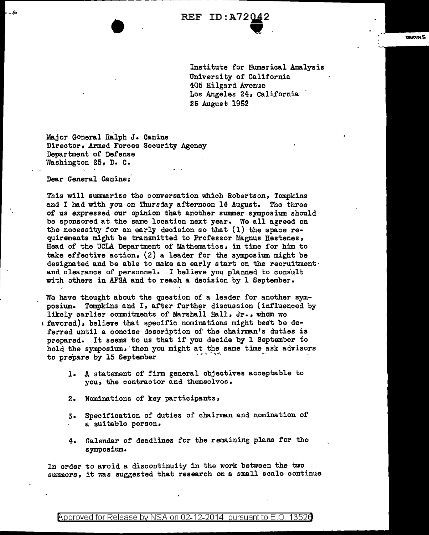Institute for Numerical Analysis University of California 405 Hilgard Avenue Los Angeles 24, California 25 August lQS2

:Major General Ralph *J.* Canine Director, Armed Forces Security Agency Department of Defense Washington 25, D. c.

Dear General Canine:

This will summarize the conversation which Robertson, Tompkins and I had with you on Thursday afternoon 14 August. The three of us expressed our opinion that another summer symposium should be sponsored at the same location next year. We all agreed on the necessity for an early decision so that (1) the space requirements might be transmitted to Professor Magnus Hestenes, Head of the UCLA Department of Mathematics, in time for him to take effective action, (2) a leader for the symposium might be designated and be able to make an early start on the recruitmentand clearance of personnel. I believe you planned to consult with others in AFSA and to reach a decision by 1 September.

We have thought about the question of a leader for another symposium. Tompkins and I, after further discussion (influenced by likely earlier commitments of Marshall Hall, Jr., whom we 1 favored), believe that specific nominations might best be deferred until a concise description of the chairman's duties is prepared. It seems to us that if you decide by 1 September to hold the symposium, then you might at the same time ask advisors to prepare by 15 September

- 1. A statement of firm general objectives acceptable to you, the contractor and themselves,
- 2. Nominations of key participants,
- 3. Specification of duties of chairman and nomination of a suitable person,
- 4. Calendar of deadlines for the remaining plans for the symposium.

In order to avoid a discontinuity in the work between the two summers, it was suggested that research on a small scale continue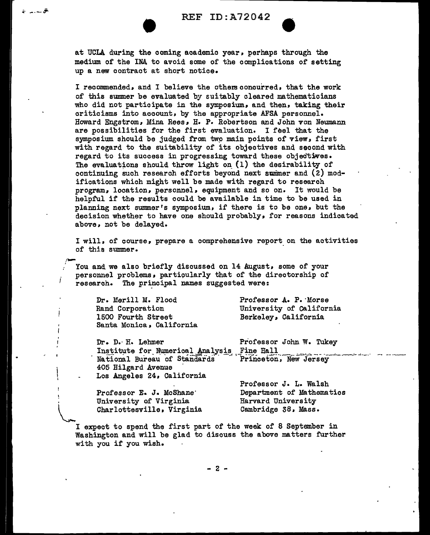| <b>REF</b> | ID:A72042 |  |  |  |
|------------|-----------|--|--|--|
|            |           |  |  |  |

REF ID:A72042<br>at UCLA during the coming academic year, perhaps through the medium of the INA to avoid some of the complications of setting up a new oontract at short notice.

I recommended, and I believe the others concurred, that the work of this summer be evaluated by suitably cleared mathematicians who did not participate in the symposium, and then, taking their criticisms into account, by the appropriate AFSA personnel. Howard Engstrom, Mina Rees, H. P. Robertson and John von Neumann are possibilities for the first evaluation. I feel that the symposium should be judged from twp main points of view, first with regard to the suitability of its objectives and second with regard to its success in progressing toward these objectives. The evaluations should throw light on  $(1)$  the desirability of continuing such research efforts beyond next summer and  $(2)$  modifications which might well be made with regard to research program, location, personnel, equipment and so on. It would be helpful if the results could be available in time to be used in planning next summer's symposium, if there is to be one, but the decision whether to have one should probably, for reasons indicated above, not be delayed.

I will, of course, prepare a comprehensive report on the activities of this summer.

You and we also briefly discussed on 14 August, some of your personnel problems, particularly that of the directorship of research. The principal names suggested were:

Dr. Merill M. Flood Rand Corporation 1500 Fourth Street Santa Monica, California

.C· ---~

Professor A. P. Morse University of Galifornia Berkeley, California

Dr. D. H. Lehmer Professor John W. Tukey Institute for Numerical Analysis Fine Hall<br>National Bureau of Standards Princeton, New Jersey 405 Hilgard Avenue Los Angeles 24, California

Professor E. J. McSbane· University of Virginia Charlottesville, Virginia Professor J. L. Walsh Department of Mathematics Harvard University Cambridge 38, Mass.

I expect to spend the first part of the week of 8 September in Washington and will be glad to discuss the above matters further with you if you wish.